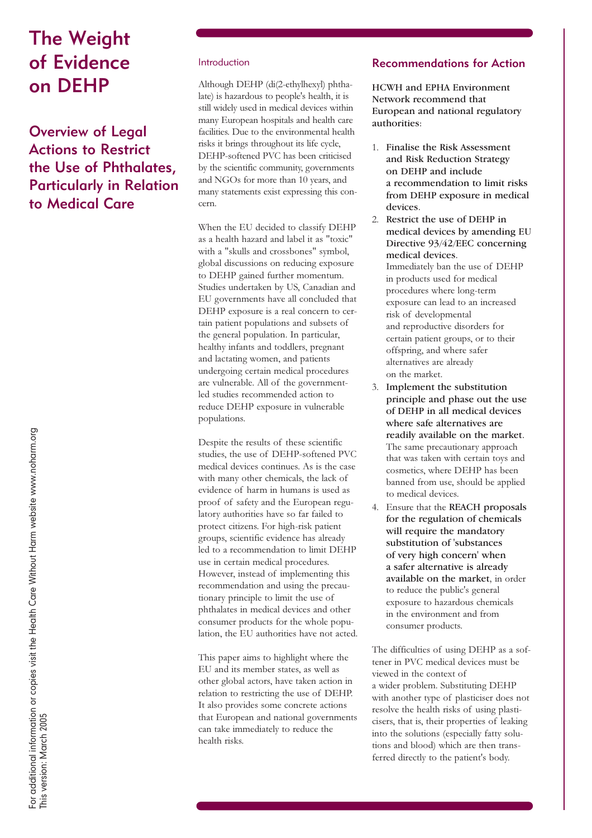# The Weight of Evidence on DEHP

Overview of Legal Actions to Restrict the Use of Phthalates, Particularly in Relation to Medical Care

#### Introduction

Although DEHP (di(2-ethylhexyl) phthalate) is hazardous to people's health, it is still widely used in medical devices within many European hospitals and health care facilities. Due to the environmental health risks it brings throughout its life cycle, DEHP-softened PVC has been criticised by the scientific community, governments and NGOs for more than 10 years, and many statements exist expressing this concern.

When the EU decided to classify DEHP as a health hazard and label it as "toxic" with a "skulls and crossbones" symbol, global discussions on reducing exposure to DEHP gained further momentum. Studies undertaken by US, Canadian and EU governments have all concluded that DEHP exposure is a real concern to certain patient populations and subsets of the general population. In particular, healthy infants and toddlers, pregnant and lactating women, and patients undergoing certain medical procedures are vulnerable. All of the governmentled studies recommended action to reduce DEHP exposure in vulnerable populations.

Despite the results of these scientific studies, the use of DEHP-softened PVC medical devices continues. As is the case with many other chemicals, the lack of evidence of harm in humans is used as proof of safety and the European regulatory authorities have so far failed to protect citizens. For high-risk patient groups, scientific evidence has already led to a recommendation to limit DEHP use in certain medical procedures. However, instead of implementing this recommendation and using the precautionary principle to limit the use of phthalates in medical devices and other consumer products for the whole population, the EU authorities have not acted.

This paper aims to highlight where the EU and its member states, as well as other global actors, have taken action in relation to restricting the use of DEHP. It also provides some concrete actions that European and national governments can take immediately to reduce the health risks.

# Recommendations for Action

HCWH and EPHA Environment Network recommend that European and national regulatory authorities:

- 1. Finalise the Risk Assessment and Risk Reduction Strategy on DEHP and include a recommendation to limit risks from DEHP exposure in medical devices.
- 2. Restrict the use of DEHP in medical devices by amending EU Directive 93/42/EEC concerning medical devices. Immediately ban the use of DEHP in products used for medical procedures where long-term exposure can lead to an increased risk of developmental and reproductive disorders for certain patient groups, or to their offspring, and where safer alternatives are already on the market.
- 3. Implement the substitution principle and phase out the use of DEHP in all medical devices where safe alternatives are readily available on the market. The same precautionary approach that was taken with certain toys and cosmetics, where DEHP has been banned from use, should be applied to medical devices.
- 4. Ensure that the REACH proposals for the regulation of chemicals will require the mandatory substitution of 'substances of very high concern' when a safer alternative is already available on the market, in order to reduce the public's general exposure to hazardous chemicals in the environment and from consumer products.

The difficulties of using DEHP as a softener in PVC medical devices must be viewed in the context of a wider problem. Substituting DEHP with another type of plasticiser does not resolve the health risks of using plasticisers, that is, their properties of leaking into the solutions (especially fatty solutions and blood) which are then transferred directly to the patient's body.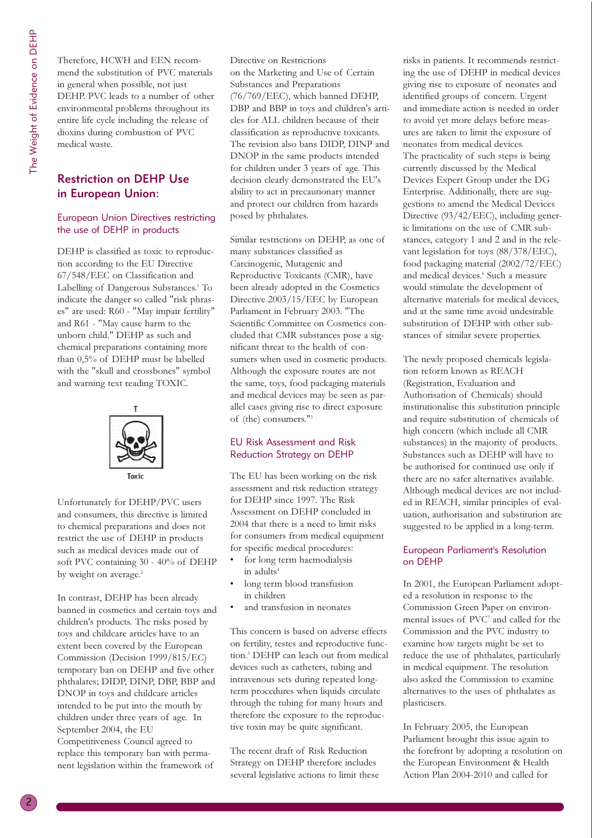Therefore, HCWH and EEN recommend the substitution of PVC materials in general when possible, not just DEHP. PVC leads to a number of other environmental problems throughout its entire life cycle including the release of dioxins during combustion of PVC medical waste.

# Restriction on DEHP Use in European Union:

#### European Union Directives restricting the use of DEHP in products

DEHP is classified as toxic to reproduction according to the EU Directive 67/548/EEC on Classification and Labelling of Dangerous Substances.<sup>1</sup> To indicate the danger so called "risk phrases" are used: R60 - "May impair fertility" and R61 - "May cause harm to the unborn child." DEHP as such and chemical preparations containing more than 0,5% of DEHP must be labelled with the "skull and crossbones" symbol and warning text reading TOXIC.



Unfortunately for DEHP/PVC users and consumers, this directive is limited to chemical preparations and does not restrict the use of DEHP in products such as medical devices made out of soft PVC containing 30 - 40% of DEHP by weight on average.<sup>2</sup>

In contrast, DEHP has been already banned in cosmetics and certain toys and children's products. The risks posed by toys and childcare articles have to an extent been covered by the European Commission (Decision 1999/815/EC) temporary ban on DEHP and five other phthalates; DIDP, DINP, DBP, BBP and DNOP in toys and childcare articles intended to be put into the mouth by children under three years of age. In September 2004, the EU Competitiveness Council agreed to replace this temporary ban with permanent legislation within the framework of

Directive on Restrictions on the Marketing and Use of Certain Substances and Preparations (76/769/EEC), which banned DEHP, DBP and BBP in toys and children's articles for ALL children because of their classification as reproductive toxicants. The revision also bans DIDP, DINP and DNOP in the same products intended for children under 3 years of age. This decision clearly demonstrated the EU's ability to act in precautionary manner and protect our children from hazards posed by phthalates.

Similar restrictions on DEHP, as one of many substances classified as Carcinogenic, Mutagenic and Reproductive Toxicants (CMR), have been already adopted in the Cosmetics Directive 2003/15/EEC by European Parliament in February 2003. "The Scientific Committee on Cosmetics concluded that CMR substances pose a significant threat to the health of consumers when used in cosmetic products. Although the exposure routes are not the same, toys, food packaging materials and medical devices may be seen as parallel cases giving rise to direct exposure of (the) consumers."3

#### EU Risk Assessment and Risk Reduction Strategy on DEHP

The EU has been working on the risk assessment and risk reduction strategy for DEHP since 1997. The Risk Assessment on DEHP concluded in 2004 that there is a need to limit risks for consumers from medical equipment for specific medical procedures:

- for long term haemodialysis in adults<sup>4</sup>
- long term blood transfusion in children
- and transfusion in neonates

This concern is based on adverse effects on fertility, testes and reproductive function.5 DEHP can leach out from medical devices such as catheters, tubing and intravenous sets during repeated longterm procedures when liquids circulate through the tubing for many hours and therefore the exposure to the reproductive toxin may be quite significant.

The recent draft of Risk Reduction Strategy on DEHP therefore includes several legislative actions to limit these risks in patients. It recommends restricting the use of DEHP in medical devices giving rise to exposure of neonates and identified groups of concern. Urgent and immediate action is needed in order to avoid yet more delays before measures are taken to limit the exposure of neonates from medical devices. The practicality of such steps is being currently discussed by the Medical Devices Expert Group under the DG Enterprise. Additionally, there are suggestions to amend the Medical Devices Directive (93/42/EEC), including generic limitations on the use of CMR substances, category 1 and 2 and in the relevant legislation for toys (88/378/EEC), food packaging material (2002/72/EEC) and medical devices.<sup>6</sup> Such a measure would stimulate the development of alternative materials for medical devices, and at the same time avoid undesirable substitution of DEHP with other substances of similar severe properties.

The newly proposed chemicals legislation reform known as REACH (Registration, Evaluation and Authorisation of Chemicals) should institutionalise this substitution principle and require substitution of chemicals of high concern (which include all CMR substances) in the majority of products. Substances such as DEHP will have to be authorised for continued use only if there are no safer alternatives available. Although medical devices are not included in REACH, similar principles of evaluation, authorisation and substitution are suggested to be applied in a long-term.

### European Parliament's Resolution on DEHP

In 2001, the European Parliament adopted a resolution in response to the Commission Green Paper on environmental issues of PVC7 and called for the Commission and the PVC industry to examine how targets might be set to reduce the use of phthalates, particularly in medical equipment. The resolution also asked the Commission to examine alternatives to the uses of phthalates as plasticisers.

In February 2005, the European Parliament brought this issue again to the forefront by adopting a resolution on the European Environment & Health Action Plan 2004-2010 and called for

2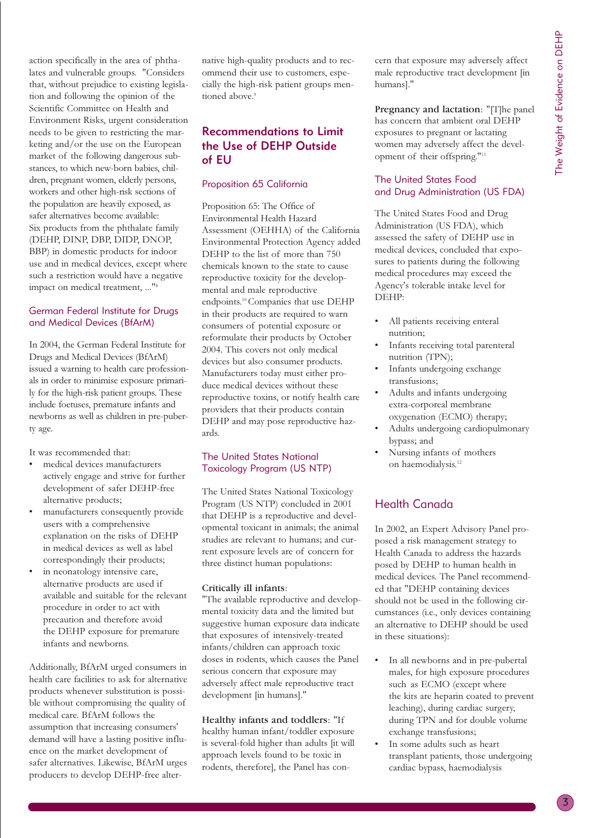action specifically in the area of phthalates and vulnerable groups. "Considers that, without prejudice to existing legislation and following the opinion of the Scientific Committee on Health and Environment Risks, urgent consideration needs to be given to restricting the marketing and/or the use on the European market of the following dangerous substances, to which new-born babies, children, pregnant women, elderly persons, workers and other high-risk sections of the population are heavily exposed, as safer alternatives become available: Six products from the phthalate family (DEHP, DINP, DBP, DIDP, DNOP, BBP) in domestic products for indoor use and in medical devices, except where such a restriction would have a negative impact on medical treatment, ..."8

### German Federal Institute for Drugs and Medical Devices (BfArM)

In 2004, the German Federal Institute for Drugs and Medical Devices (BfArM) issued a warning to health care professionals in order to minimise exposure primarily for the high-risk patient groups. These include foetuses, premature infants and newborns as well as children in pre-puberty age.

It was recommended that:

- medical devices manufacturers actively engage and strive for further development of safer DEHP-free alternative products;
- manufacturers consequently provide users with a comprehensive explanation on the risks of DEHP in medical devices as well as label correspondingly their products;
- in neonatology intensive care, alternative products are used if available and suitable for the relevant procedure in order to act with precaution and therefore avoid the DEHP exposure for premature infants and newborns.

Additionally, BfArM urged consumers in health care facilities to ask for alternative products whenever substitution is possible without compromising the quality of medical care. BfArM follows the assumption that increasing consumers' demand will have a lasting positive influence on the market development of safer alternatives. Likewise, BfArM urges producers to develop DEHP-free alternative high-quality products and to recommend their use to customers, especially the high-risk patient groups mentioned above.<sup>9</sup>

# Recommendations to Limit the Use of DEHP Outside of EU

# Proposition 65 California

Proposition 65: The Office of Environmental Health Hazard Assessment (OEHHA) of the California Environmental Protection Agency added DEHP to the list of more than 750 chemicals known to the state to cause reproductive toxicity for the developmental and male reproductive endpoints.10 Companies that use DEHP in their products are required to warn consumers of potential exposure or reformulate their products by October 2004. This covers not only medical devices but also consumer products. Manufacturers today must either produce medical devices without these reproductive toxins, or notify health care providers that their products contain DEHP and may pose reproductive hazards.

# The United States National Toxicology Program (US NTP)

The United States National Toxicology Program (US NTP) concluded in 2001 that DEHP is a reproductive and developmental toxicant in animals; the animal studies are relevant to humans; and current exposure levels are of concern for three distinct human populations:

### Critically ill infants:

"The available reproductive and developmental toxicity data and the limited but suggestive human exposure data indicate that exposures of intensively-treated infants/children can approach toxic doses in rodents, which causes the Panel serious concern that exposure may adversely affect male reproductive tract development [in humans]."

Healthy infants and toddlers: "If healthy human infant/toddler exposure is several-fold higher than adults [it will approach levels found to be toxic in rodents, therefore], the Panel has concern that exposure may adversely affect male reproductive tract development [in humans]."

Pregnancy and lactation: "[T]he panel has concern that ambient oral DEHP exposures to pregnant or lactating women may adversely affect the development of their offspring."11

# The United States Food and Drug Administration (US FDA)

The United States Food and Drug Administration (US FDA), which assessed the safety of DEHP use in medical devices, concluded that exposures to patients during the following medical procedures may exceed the Agency's tolerable intake level for DEHP:

- All patients receiving enteral nutrition;
- Infants receiving total parenteral nutrition (TPN);
- Infants undergoing exchange transfusions;
- Adults and infants undergoing extra-corporeal membrane oxygenation (ECMO) therapy;
- Adults undergoing cardiopulmonary bypass; and
- Nursing infants of mothers on haemodialysis.<sup>12</sup>

# Health Canada

In 2002, an Expert Advisory Panel proposed a risk management strategy to Health Canada to address the hazards posed by DEHP to human health in medical devices. The Panel recommended that "DEHP containing devices should not be used in the following circumstances (i.e., only devices containing an alternative to DEHP should be used in these situations):

- In all newborns and in pre-pubertal males, for high exposure procedures such as ECMO (except where the kits are heparin coated to prevent leaching), during cardiac surgery, during TPN and for double volume exchange transfusions;
- In some adults such as heart transplant patients, those undergoing cardiac bypass, haemodialysis

3